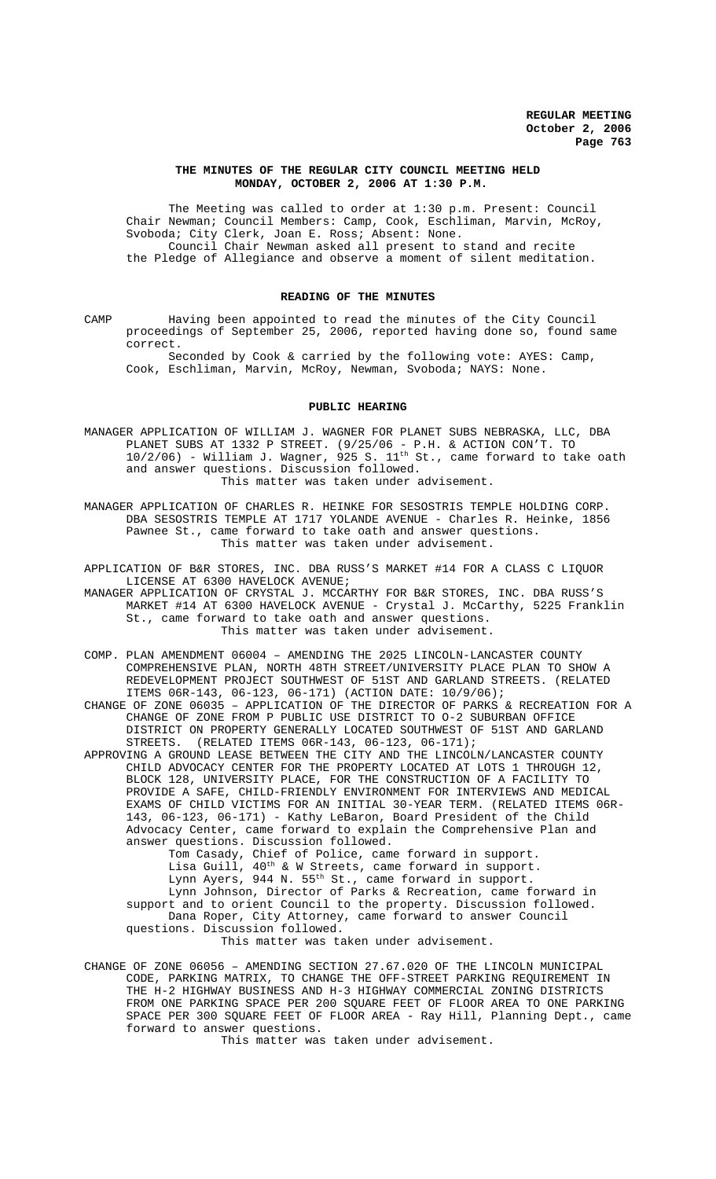### **THE MINUTES OF THE REGULAR CITY COUNCIL MEETING HELD MONDAY, OCTOBER 2, 2006 AT 1:30 P.M.**

The Meeting was called to order at 1:30 p.m. Present: Council Chair Newman; Council Members: Camp, Cook, Eschliman, Marvin, McRoy, Svoboda; City Clerk, Joan E. Ross; Absent: None. Council Chair Newman asked all present to stand and recite the Pledge of Allegiance and observe a moment of silent meditation.

### **READING OF THE MINUTES**

CAMP Having been appointed to read the minutes of the City Council proceedings of September 25, 2006, reported having done so, found same correct.

Seconded by Cook & carried by the following vote: AYES: Camp, Cook, Eschliman, Marvin, McRoy, Newman, Svoboda; NAYS: None.

#### **PUBLIC HEARING**

MANAGER APPLICATION OF WILLIAM J. WAGNER FOR PLANET SUBS NEBRASKA, LLC, DBA PLANET SUBS AT 1332 P STREET. (9/25/06 - P.H. & ACTION CON'T. TO  $10/2/06$ ) - William J. Wagner, 925 S.  $11^{\text{th}}$  St., came forward to take oath and answer questions. Discussion followed. This matter was taken under advisement.

MANAGER APPLICATION OF CHARLES R. HEINKE FOR SESOSTRIS TEMPLE HOLDING CORP. DBA SESOSTRIS TEMPLE AT 1717 YOLANDE AVENUE - Charles R. Heinke, 1856 Pawnee St., came forward to take oath and answer questions. This matter was taken under advisement.

APPLICATION OF B&R STORES, INC. DBA RUSS'S MARKET #14 FOR A CLASS C LIQUOR LICENSE AT 6300 HAVELOCK AVENUE;

MANAGER APPLICATION OF CRYSTAL J. MCCARTHY FOR B&R STORES, INC. DBA RUSS'S MARKET #14 AT 6300 HAVELOCK AVENUE - Crystal J. McCarthy, 5225 Franklin St., came forward to take oath and answer questions. This matter was taken under advisement.

COMP. PLAN AMENDMENT 06004 – AMENDING THE 2025 LINCOLN-LANCASTER COUNTY COMPREHENSIVE PLAN, NORTH 48TH STREET/UNIVERSITY PLACE PLAN TO SHOW A REDEVELOPMENT PROJECT SOUTHWEST OF 51ST AND GARLAND STREETS. (RELATED ITEMS 06R-143, 06-123, 06-171) (ACTION DATE: 10/9/06);

CHANGE OF ZONE 06035 – APPLICATION OF THE DIRECTOR OF PARKS & RECREATION FOR A CHANGE OF ZONE FROM P PUBLIC USE DISTRICT TO O-2 SUBURBAN OFFICE DISTRICT ON PROPERTY GENERALLY LOCATED SOUTHWEST OF 51ST AND GARLAND STREETS. (RELATED ITEMS 06R-143, 06-123, 06-171);

APPROVING A GROUND LEASE BETWEEN THE CITY AND THE LINCOLN/LANCASTER COUNTY CHILD ADVOCACY CENTER FOR THE PROPERTY LOCATED AT LOTS 1 THROUGH 12, BLOCK 128, UNIVERSITY PLACE, FOR THE CONSTRUCTION OF A FACILITY TO PROVIDE A SAFE, CHILD-FRIENDLY ENVIRONMENT FOR INTERVIEWS AND MEDICAL EXAMS OF CHILD VICTIMS FOR AN INITIAL 30-YEAR TERM. (RELATED ITEMS 06R-143, 06-123, 06-171) - Kathy LeBaron, Board President of the Child Advocacy Center, came forward to explain the Comprehensive Plan and answer questions. Discussion followed.

Tom Casady, Chief of Police, came forward in support. Lisa Guill, 40<sup>th</sup> & W Streets, came forward in support. Lynn Ayers, 944 N. 55<sup>th</sup> St., came forward in support. Lynn Johnson, Director of Parks & Recreation, came forward in support and to orient Council to the property. Discussion followed. Dana Roper, City Attorney, came forward to answer Council questions. Discussion followed.

This matter was taken under advisement.

CHANGE OF ZONE 06056 – AMENDING SECTION 27.67.020 OF THE LINCOLN MUNICIPAL CODE, PARKING MATRIX, TO CHANGE THE OFF-STREET PARKING REQUIREMENT IN THE H-2 HIGHWAY BUSINESS AND H-3 HIGHWAY COMMERCIAL ZONING DISTRICTS FROM ONE PARKING SPACE PER 200 SQUARE FEET OF FLOOR AREA TO ONE PARKING SPACE PER 300 SQUARE FEET OF FLOOR AREA - Ray Hill, Planning Dept., came forward to answer questions.

This matter was taken under advisement.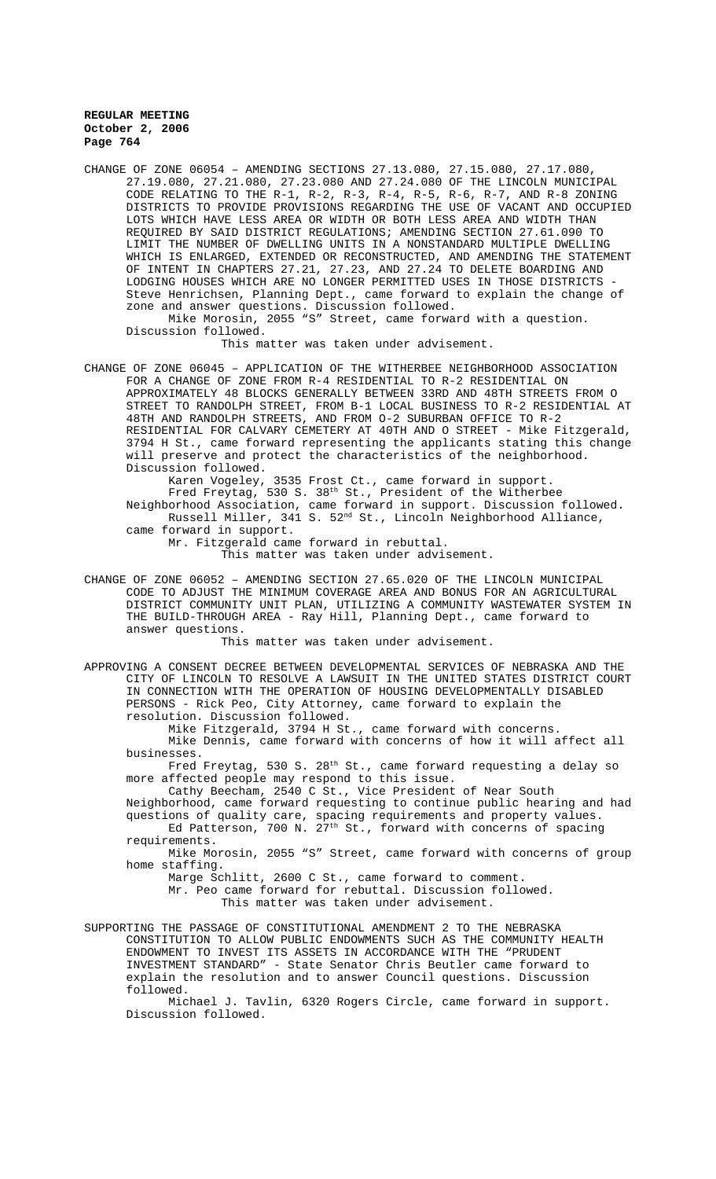CHANGE OF ZONE 06054 – AMENDING SECTIONS 27.13.080, 27.15.080, 27.17.080, 27.19.080, 27.21.080, 27.23.080 AND 27.24.080 OF THE LINCOLN MUNICIPAL CODE RELATING TO THE R-1, R-2, R-3, R-4, R-5, R-6, R-7, AND R-8 ZONING DISTRICTS TO PROVIDE PROVISIONS REGARDING THE USE OF VACANT AND OCCUPIED LOTS WHICH HAVE LESS AREA OR WIDTH OR BOTH LESS AREA AND WIDTH THAN REQUIRED BY SAID DISTRICT REGULATIONS; AMENDING SECTION 27.61.090 TO LIMIT THE NUMBER OF DWELLING UNITS IN A NONSTANDARD MULTIPLE DWELLING WHICH IS ENLARGED, EXTENDED OR RECONSTRUCTED, AND AMENDING THE STATEMENT OF INTENT IN CHAPTERS 27.21, 27.23, AND 27.24 TO DELETE BOARDING AND LODGING HOUSES WHICH ARE NO LONGER PERMITTED USES IN THOSE DISTRICTS Steve Henrichsen, Planning Dept., came forward to explain the change of zone and answer questions. Discussion followed. Mike Morosin, 2055 "S" Street, came forward with a question. Discussion followed.

This matter was taken under advisement.

CHANGE OF ZONE 06045 – APPLICATION OF THE WITHERBEE NEIGHBORHOOD ASSOCIATION FOR A CHANGE OF ZONE FROM R-4 RESIDENTIAL TO R-2 RESIDENTIAL ON APPROXIMATELY 48 BLOCKS GENERALLY BETWEEN 33RD AND 48TH STREETS FROM O STREET TO RANDOLPH STREET, FROM B-1 LOCAL BUSINESS TO R-2 RESIDENTIAL AT 48TH AND RANDOLPH STREETS, AND FROM O-2 SUBURBAN OFFICE TO R-2 RESIDENTIAL FOR CALVARY CEMETERY AT 40TH AND O STREET - Mike Fitzgerald, 3794 H St., came forward representing the applicants stating this change will preserve and protect the characteristics of the neighborhood. Discussion followed.

Karen Vogeley, 3535 Frost Ct., came forward in support. Fred Freytag, 530 S. 38 $^{\text{th}}$  St., President of the Witherbee Neighborhood Association, came forward in support. Discussion followed. Russell Miller, 341 S. 52nd St., Lincoln Neighborhood Alliance, came forward in support.

Mr. Fitzgerald came forward in rebuttal.

This matter was taken under advisement.

CHANGE OF ZONE 06052 – AMENDING SECTION 27.65.020 OF THE LINCOLN MUNICIPAL CODE TO ADJUST THE MINIMUM COVERAGE AREA AND BONUS FOR AN AGRICULTURAL DISTRICT COMMUNITY UNIT PLAN, UTILIZING A COMMUNITY WASTEWATER SYSTEM IN THE BUILD-THROUGH AREA - Ray Hill, Planning Dept., came forward to answer questions.

This matter was taken under advisement.

APPROVING A CONSENT DECREE BETWEEN DEVELOPMENTAL SERVICES OF NEBRASKA AND THE CITY OF LINCOLN TO RESOLVE A LAWSUIT IN THE UNITED STATES DISTRICT COURT IN CONNECTION WITH THE OPERATION OF HOUSING DEVELOPMENTALLY DISABLED PERSONS - Rick Peo, City Attorney, came forward to explain the resolution. Discussion followed.

Mike Fitzgerald, 3794 H St., came forward with concerns.

Mike Dennis, came forward with concerns of how it will affect all businesses.

Fred Freytag, 530 S. 28<sup>th</sup> St., came forward requesting a delay so more affected people may respond to this issue.

Cathy Beecham, 2540 C St., Vice President of Near South Neighborhood, came forward requesting to continue public hearing and had questions of quality care, spacing requirements and property values. Ed Patterson, 700 N. 27<sup>th</sup> St., forward with concerns of spacing

requirements. Mike Morosin, 2055 "S" Street, came forward with concerns of group home staffing.

Marge Schlitt, 2600 C St., came forward to comment.

Mr. Peo came forward for rebuttal. Discussion followed.

This matter was taken under advisement.

SUPPORTING THE PASSAGE OF CONSTITUTIONAL AMENDMENT 2 TO THE NEBRASKA CONSTITUTION TO ALLOW PUBLIC ENDOWMENTS SUCH AS THE COMMUNITY HEALTH ENDOWMENT TO INVEST ITS ASSETS IN ACCORDANCE WITH THE "PRUDENT INVESTMENT STANDARD" - State Senator Chris Beutler came forward to explain the resolution and to answer Council questions. Discussion followed.

Michael J. Tavlin, 6320 Rogers Circle, came forward in support. Discussion followed.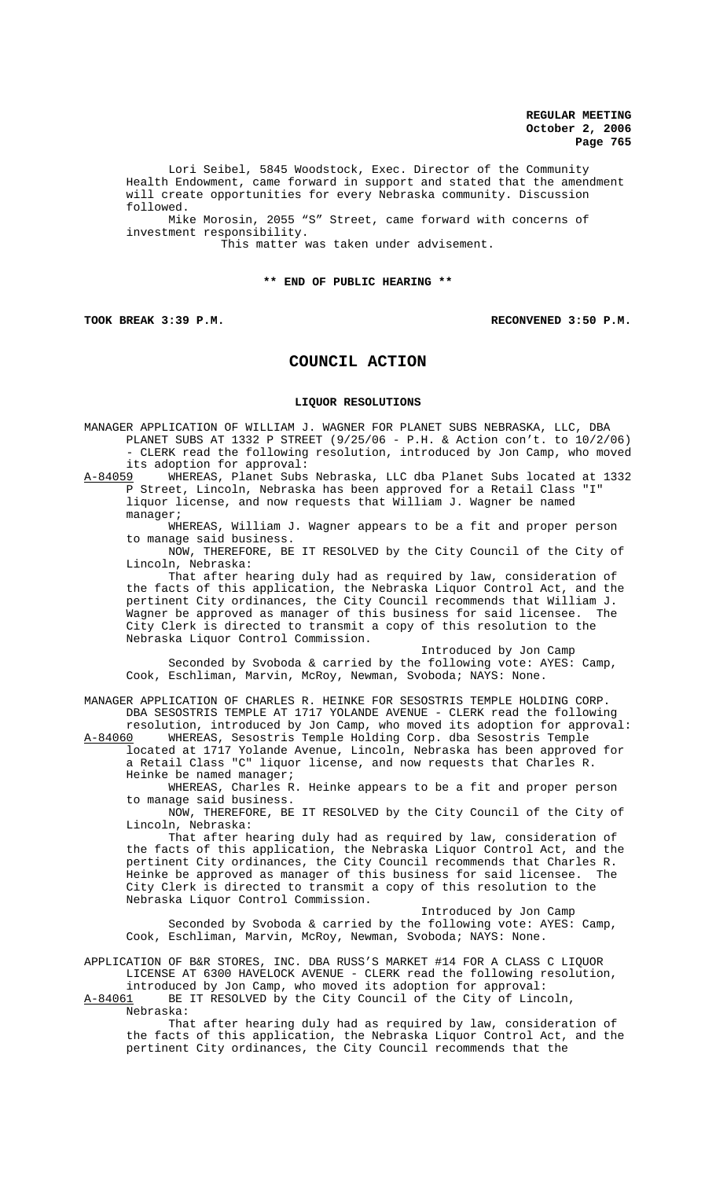Lori Seibel, 5845 Woodstock, Exec. Director of the Community Health Endowment, came forward in support and stated that the amendment will create opportunities for every Nebraska community. Discussion followed.

Mike Morosin, 2055 "S" Street, came forward with concerns of investment responsibility.

This matter was taken under advisement.

### **\*\* END OF PUBLIC HEARING \*\***

#### **TOOK BREAK 3:39 P.M. RECONVENED 3:50 P.M.**

# **COUNCIL ACTION**

### **LIQUOR RESOLUTIONS**

MANAGER APPLICATION OF WILLIAM J. WAGNER FOR PLANET SUBS NEBRASKA, LLC, DBA PLANET SUBS AT 1332 P STREET (9/25/06 - P.H. & Action con't. to 10/2/06) - CLERK read the following resolution, introduced by Jon Camp, who moved its adoption for approval:<br><u>A-84059</u> WHEREAS, Planet Subs WHEREAS, Planet Subs Nebraska, LLC dba Planet Subs located at 1332

P Street, Lincoln, Nebraska has been approved for a Retail Class "I" liquor license, and now requests that William J. Wagner be named manager;

WHEREAS, William J. Wagner appears to be a fit and proper person to manage said business.

NOW, THEREFORE, BE IT RESOLVED by the City Council of the City of Lincoln, Nebraska:

That after hearing duly had as required by law, consideration of the facts of this application, the Nebraska Liquor Control Act, and the pertinent City ordinances, the City Council recommends that William J.<br>Wagner be approved as manager of this business for said licensee. The wagner be approved as manager of this business for said licensee. City Clerk is directed to transmit a copy of this resolution to the Nebraska Liquor Control Commission.

Introduced by Jon Camp Seconded by Svoboda & carried by the following vote: AYES: Camp, Cook, Eschliman, Marvin, McRoy, Newman, Svoboda; NAYS: None.

MANAGER APPLICATION OF CHARLES R. HEINKE FOR SESOSTRIS TEMPLE HOLDING CORP. DBA SESOSTRIS TEMPLE AT 1717 YOLANDE AVENUE - CLERK read the following resolution, introduced by Jon Camp, who moved its adoption for approval:<br>A-84060 WHEREAS, Sesostris Temple Holding Corp. dba Sesostris Temple

WHEREAS, Sesostris Temple Holding Corp. dba Sesostris Temple located at 1717 Yolande Avenue, Lincoln, Nebraska has been approved for a Retail Class "C" liquor license, and now requests that Charles R. Heinke be named manager;

WHEREAS, Charles R. Heinke appears to be a fit and proper person to manage said business.

NOW, THEREFORE, BE IT RESOLVED by the City Council of the City of Lincoln, Nebraska:

That after hearing duly had as required by law, consideration of the facts of this application, the Nebraska Liquor Control Act, and the pertinent City ordinances, the City Council recommends that Charles R. Heinke be approved as manager of this business for said licensee. The City Clerk is directed to transmit a copy of this resolution to the Nebraska Liquor Control Commission.

Introduced by Jon Camp Seconded by Svoboda & carried by the following vote: AYES: Camp, Cook, Eschliman, Marvin, McRoy, Newman, Svoboda; NAYS: None.

APPLICATION OF B&R STORES, INC. DBA RUSS'S MARKET #14 FOR A CLASS C LIQUOR LICENSE AT 6300 HAVELOCK AVENUE - CLERK read the following resolution,

introduced by Jon Camp, who moved its adoption for approval:<br>A-84061 BE IT RESOLVED by the City Council of the City of Linc BE IT RESOLVED by the City Council of the City of Lincoln,

Nebraska:

That after hearing duly had as required by law, consideration of the facts of this application, the Nebraska Liquor Control Act, and the pertinent City ordinances, the City Council recommends that the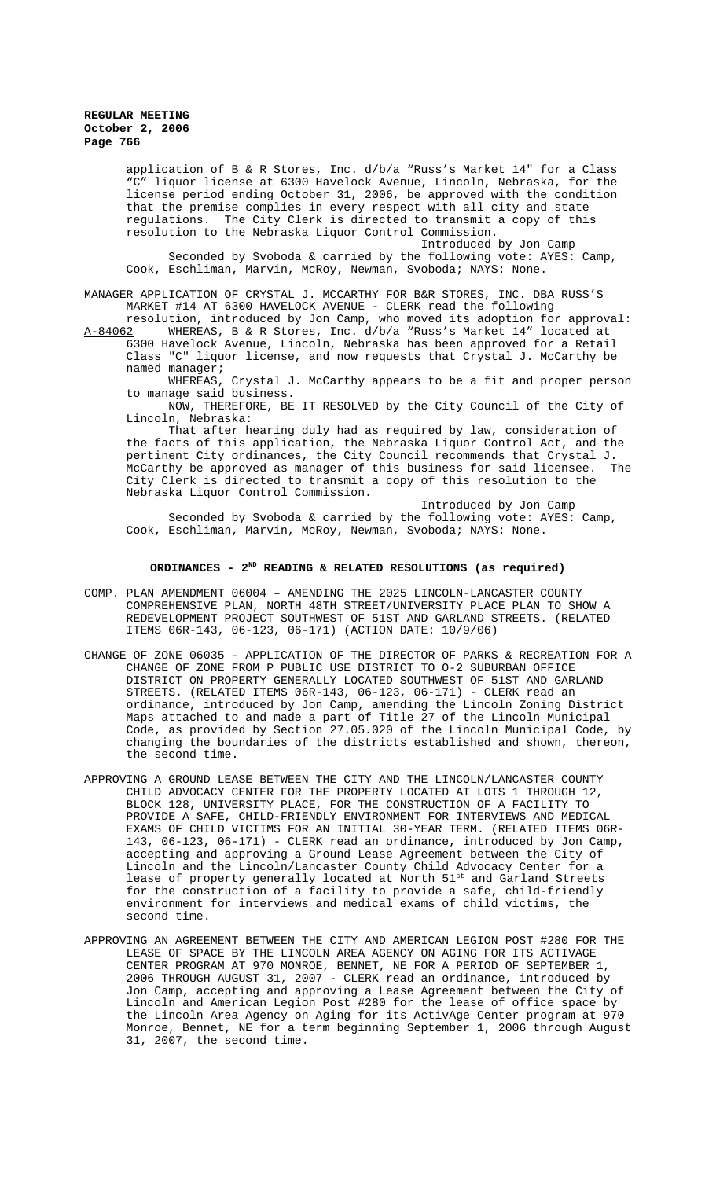application of B & R Stores, Inc. d/b/a "Russ's Market 14" for a Class "C" liquor license at 6300 Havelock Avenue, Lincoln, Nebraska, for the license period ending October 31, 2006, be approved with the condition that the premise complies in every respect with all city and state regulations. The City Clerk is directed to transmit a copy of this resolution to the Nebraska Liquor Control Commission.

Introduced by Jon Camp Seconded by Svoboda & carried by the following vote: AYES: Camp, Cook, Eschliman, Marvin, McRoy, Newman, Svoboda; NAYS: None.

MANAGER APPLICATION OF CRYSTAL J. MCCARTHY FOR B&R STORES, INC. DBA RUSS'S MARKET #14 AT 6300 HAVELOCK AVENUE - CLERK read the following

resolution, introduced by Jon Camp, who moved its adoption for approval:<br>A-84062 MHEREAS, B & R Stores, Inc. d/b/a "Russ's Market 14" located at A-84062 WHEREAS, B & R Stores, Inc. d/b/a "Russ's Market 14" located at 6300 Havelock Avenue, Lincoln, Nebraska has been approved for a Retail Class "C" liquor license, and now requests that Crystal J. McCarthy be named manager;

WHEREAS, Crystal J. McCarthy appears to be a fit and proper person to manage said business.

NOW, THEREFORE, BE IT RESOLVED by the City Council of the City of Lincoln, Nebraska:

That after hearing duly had as required by law, consideration of the facts of this application, the Nebraska Liquor Control Act, and the pertinent City ordinances, the City Council recommends that Crystal J.<br>McCarthy be approved as manager of this business for said licensee. The McCarthy be approved as manager of this business for said licensee. City Clerk is directed to transmit a copy of this resolution to the Nebraska Liquor Control Commission.

Introduced by Jon Camp Seconded by Svoboda & carried by the following vote: AYES: Camp, Cook, Eschliman, Marvin, McRoy, Newman, Svoboda; NAYS: None.

## ORDINANCES - 2<sup>ND</sup> READING & RELATED RESOLUTIONS (as required)

- COMP. PLAN AMENDMENT 06004 AMENDING THE 2025 LINCOLN-LANCASTER COUNTY COMPREHENSIVE PLAN, NORTH 48TH STREET/UNIVERSITY PLACE PLAN TO SHOW A REDEVELOPMENT PROJECT SOUTHWEST OF 51ST AND GARLAND STREETS. (RELATED ITEMS 06R-143, 06-123, 06-171) (ACTION DATE: 10/9/06)
- CHANGE OF ZONE 06035 APPLICATION OF THE DIRECTOR OF PARKS & RECREATION FOR A CHANGE OF ZONE FROM P PUBLIC USE DISTRICT TO O-2 SUBURBAN OFFICE DISTRICT ON PROPERTY GENERALLY LOCATED SOUTHWEST OF 51ST AND GARLAND STREETS. (RELATED ITEMS 06R-143, 06-123, 06-171) - CLERK read an ordinance, introduced by Jon Camp, amending the Lincoln Zoning District Maps attached to and made a part of Title 27 of the Lincoln Municipal Code, as provided by Section 27.05.020 of the Lincoln Municipal Code, by changing the boundaries of the districts established and shown, thereon, the second time.
- APPROVING A GROUND LEASE BETWEEN THE CITY AND THE LINCOLN/LANCASTER COUNTY CHILD ADVOCACY CENTER FOR THE PROPERTY LOCATED AT LOTS 1 THROUGH 12, BLOCK 128, UNIVERSITY PLACE, FOR THE CONSTRUCTION OF A FACILITY TO PROVIDE A SAFE, CHILD-FRIENDLY ENVIRONMENT FOR INTERVIEWS AND MEDICAL EXAMS OF CHILD VICTIMS FOR AN INITIAL 30-YEAR TERM. (RELATED ITEMS 06R-143, 06-123, 06-171) - CLERK read an ordinance, introduced by Jon Camp, accepting and approving a Ground Lease Agreement between the City of Lincoln and the Lincoln/Lancaster County Child Advocacy Center for a lease of property generally located at North 51st and Garland Streets for the construction of a facility to provide a safe, child-friendly environment for interviews and medical exams of child victims, the second time.
- APPROVING AN AGREEMENT BETWEEN THE CITY AND AMERICAN LEGION POST #280 FOR THE LEASE OF SPACE BY THE LINCOLN AREA AGENCY ON AGING FOR ITS ACTIVAGE CENTER PROGRAM AT 970 MONROE, BENNET, NE FOR A PERIOD OF SEPTEMBER 1, 2006 THROUGH AUGUST 31, 2007 - CLERK read an ordinance, introduced by Jon Camp, accepting and approving a Lease Agreement between the City of Lincoln and American Legion Post #280 for the lease of office space by the Lincoln Area Agency on Aging for its ActivAge Center program at 970 Monroe, Bennet, NE for a term beginning September 1, 2006 through August 31, 2007, the second time.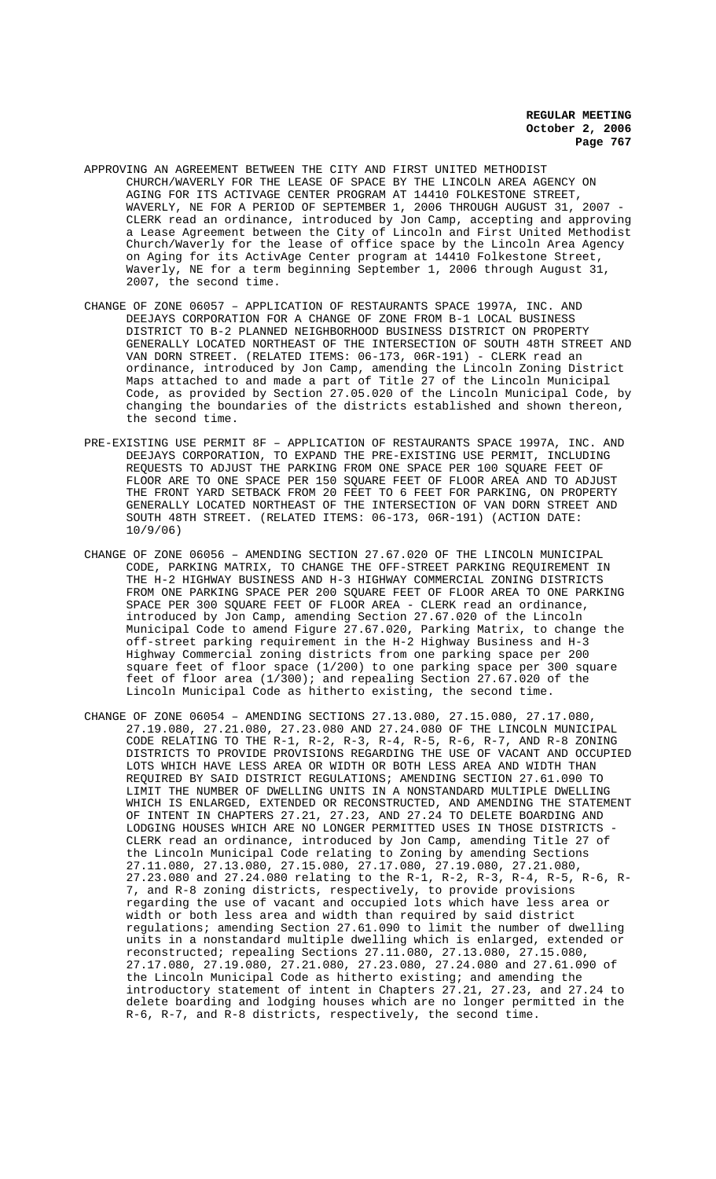- APPROVING AN AGREEMENT BETWEEN THE CITY AND FIRST UNITED METHODIST CHURCH/WAVERLY FOR THE LEASE OF SPACE BY THE LINCOLN AREA AGENCY ON AGING FOR ITS ACTIVAGE CENTER PROGRAM AT 14410 FOLKESTONE STREET, WAVERLY, NE FOR A PERIOD OF SEPTEMBER 1, 2006 THROUGH AUGUST 31, 2007 - CLERK read an ordinance, introduced by Jon Camp, accepting and approving a Lease Agreement between the City of Lincoln and First United Methodist Church/Waverly for the lease of office space by the Lincoln Area Agency on Aging for its ActivAge Center program at 14410 Folkestone Street, Waverly, NE for a term beginning September 1, 2006 through August 31, 2007, the second time.
- CHANGE OF ZONE 06057 APPLICATION OF RESTAURANTS SPACE 1997A, INC. AND DEEJAYS CORPORATION FOR A CHANGE OF ZONE FROM B-1 LOCAL BUSINESS DISTRICT TO B-2 PLANNED NEIGHBORHOOD BUSINESS DISTRICT ON PROPERTY GENERALLY LOCATED NORTHEAST OF THE INTERSECTION OF SOUTH 48TH STREET AND VAN DORN STREET. (RELATED ITEMS: 06-173, 06R-191) - CLERK read an ordinance, introduced by Jon Camp, amending the Lincoln Zoning District Maps attached to and made a part of Title 27 of the Lincoln Municipal Code, as provided by Section 27.05.020 of the Lincoln Municipal Code, by changing the boundaries of the districts established and shown thereon, the second time.
- PRE-EXISTING USE PERMIT 8F APPLICATION OF RESTAURANTS SPACE 1997A, INC. AND DEEJAYS CORPORATION, TO EXPAND THE PRE-EXISTING USE PERMIT, INCLUDING REQUESTS TO ADJUST THE PARKING FROM ONE SPACE PER 100 SQUARE FEET OF FLOOR ARE TO ONE SPACE PER 150 SQUARE FEET OF FLOOR AREA AND TO ADJUST THE FRONT YARD SETBACK FROM 20 FEET TO 6 FEET FOR PARKING, ON PROPERTY GENERALLY LOCATED NORTHEAST OF THE INTERSECTION OF VAN DORN STREET AND SOUTH 48TH STREET. (RELATED ITEMS: 06-173, 06R-191) (ACTION DATE: 10/9/06)
- CHANGE OF ZONE 06056 AMENDING SECTION 27.67.020 OF THE LINCOLN MUNICIPAL CODE, PARKING MATRIX, TO CHANGE THE OFF-STREET PARKING REQUIREMENT IN THE H-2 HIGHWAY BUSINESS AND H-3 HIGHWAY COMMERCIAL ZONING DISTRICTS FROM ONE PARKING SPACE PER 200 SQUARE FEET OF FLOOR AREA TO ONE PARKING SPACE PER 300 SQUARE FEET OF FLOOR AREA - CLERK read an ordinance, introduced by Jon Camp, amending Section 27.67.020 of the Lincoln Municipal Code to amend Figure 27.67.020, Parking Matrix, to change the off-street parking requirement in the H-2 Highway Business and H-3 Highway Commercial zoning districts from one parking space per 200 square feet of floor space (1/200) to one parking space per 300 square feet of floor area (1/300); and repealing Section 27.67.020 of the Lincoln Municipal Code as hitherto existing, the second time.
- CHANGE OF ZONE 06054 AMENDING SECTIONS 27.13.080, 27.15.080, 27.17.080, 27.19.080, 27.21.080, 27.23.080 AND 27.24.080 OF THE LINCOLN MUNICIPAL CODE RELATING TO THE R-1, R-2, R-3, R-4, R-5, R-6, R-7, AND R-8 ZONING DISTRICTS TO PROVIDE PROVISIONS REGARDING THE USE OF VACANT AND OCCUPIED LOTS WHICH HAVE LESS AREA OR WIDTH OR BOTH LESS AREA AND WIDTH THAN REQUIRED BY SAID DISTRICT REGULATIONS; AMENDING SECTION 27.61.090 TO LIMIT THE NUMBER OF DWELLING UNITS IN A NONSTANDARD MULTIPLE DWELLING WHICH IS ENLARGED, EXTENDED OR RECONSTRUCTED, AND AMENDING THE STATEMENT OF INTENT IN CHAPTERS 27.21, 27.23, AND 27.24 TO DELETE BOARDING AND LODGING HOUSES WHICH ARE NO LONGER PERMITTED USES IN THOSE DISTRICTS CLERK read an ordinance, introduced by Jon Camp, amending Title 27 of the Lincoln Municipal Code relating to Zoning by amending Sections 27.11.080, 27.13.080, 27.15.080, 27.17.080, 27.19.080, 27.21.080, 27.23.080 and 27.24.080 relating to the R-1, R-2, R-3, R-4, R-5, R-6, R-7, and R-8 zoning districts, respectively, to provide provisions regarding the use of vacant and occupied lots which have less area or width or both less area and width than required by said district regulations; amending Section 27.61.090 to limit the number of dwelling units in a nonstandard multiple dwelling which is enlarged, extended or reconstructed; repealing Sections 27.11.080, 27.13.080, 27.15.080, 27.17.080, 27.19.080, 27.21.080, 27.23.080, 27.24.080 and 27.61.090 of the Lincoln Municipal Code as hitherto existing; and amending the introductory statement of intent in Chapters 27.21, 27.23, and 27.24 to delete boarding and lodging houses which are no longer permitted in the R-6, R-7, and R-8 districts, respectively, the second time.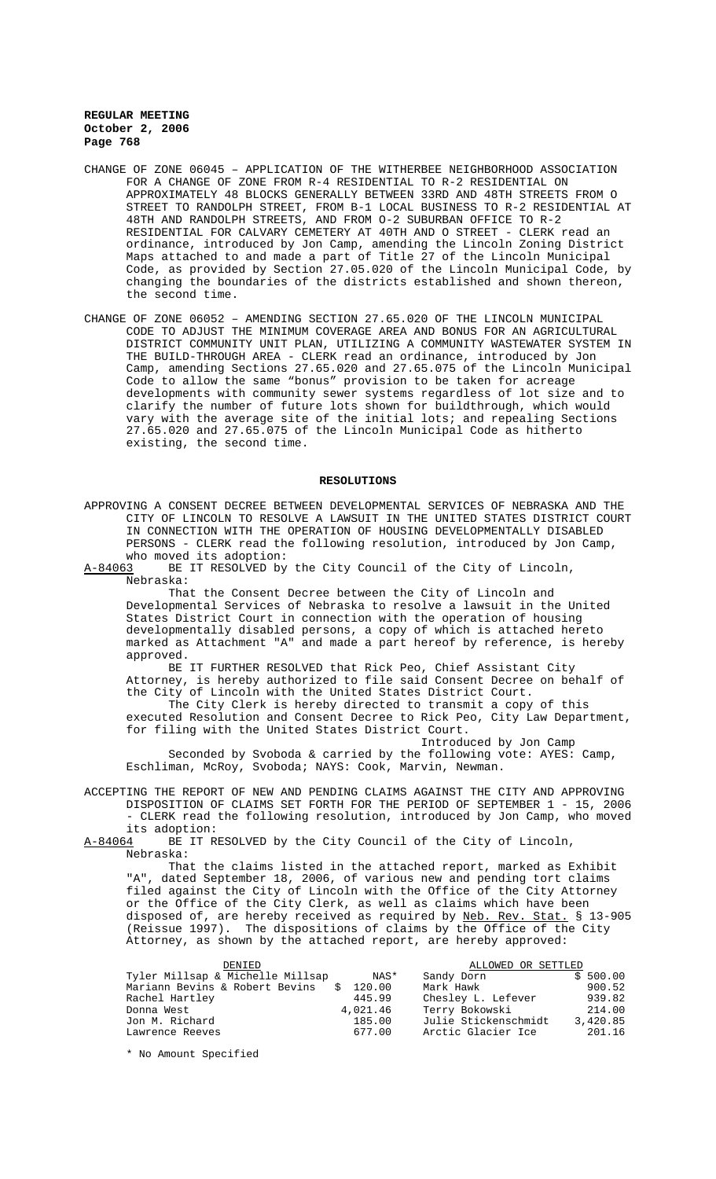- CHANGE OF ZONE 06045 APPLICATION OF THE WITHERBEE NEIGHBORHOOD ASSOCIATION FOR A CHANGE OF ZONE FROM R-4 RESIDENTIAL TO R-2 RESIDENTIAL ON APPROXIMATELY 48 BLOCKS GENERALLY BETWEEN 33RD AND 48TH STREETS FROM O STREET TO RANDOLPH STREET, FROM B-1 LOCAL BUSINESS TO R-2 RESIDENTIAL AT 48TH AND RANDOLPH STREETS, AND FROM O-2 SUBURBAN OFFICE TO R-2 RESIDENTIAL FOR CALVARY CEMETERY AT 40TH AND O STREET - CLERK read an ordinance, introduced by Jon Camp, amending the Lincoln Zoning District Maps attached to and made a part of Title 27 of the Lincoln Municipal Code, as provided by Section 27.05.020 of the Lincoln Municipal Code, by changing the boundaries of the districts established and shown thereon, the second time.
- CHANGE OF ZONE 06052 AMENDING SECTION 27.65.020 OF THE LINCOLN MUNICIPAL CODE TO ADJUST THE MINIMUM COVERAGE AREA AND BONUS FOR AN AGRICULTURAL DISTRICT COMMUNITY UNIT PLAN, UTILIZING A COMMUNITY WASTEWATER SYSTEM IN THE BUILD-THROUGH AREA - CLERK read an ordinance, introduced by Jon Camp, amending Sections 27.65.020 and 27.65.075 of the Lincoln Municipal Code to allow the same "bonus" provision to be taken for acreage developments with community sewer systems regardless of lot size and to clarify the number of future lots shown for buildthrough, which would vary with the average site of the initial lots; and repealing Sections 27.65.020 and 27.65.075 of the Lincoln Municipal Code as hitherto existing, the second time.

#### **RESOLUTIONS**

APPROVING A CONSENT DECREE BETWEEN DEVELOPMENTAL SERVICES OF NEBRASKA AND THE CITY OF LINCOLN TO RESOLVE A LAWSUIT IN THE UNITED STATES DISTRICT COURT IN CONNECTION WITH THE OPERATION OF HOUSING DEVELOPMENTALLY DISABLED PERSONS - CLERK read the following resolution, introduced by Jon Camp,

who moved its adoption:<br>A-84063 BE IT RESOLVED by BE IT RESOLVED by the City Council of the City of Lincoln, Nebraska:

That the Consent Decree between the City of Lincoln and Developmental Services of Nebraska to resolve a lawsuit in the United States District Court in connection with the operation of housing developmentally disabled persons, a copy of which is attached hereto marked as Attachment "A" and made a part hereof by reference, is hereby approved.

BE IT FURTHER RESOLVED that Rick Peo, Chief Assistant City Attorney, is hereby authorized to file said Consent Decree on behalf of the City of Lincoln with the United States District Court. The City Clerk is hereby directed to transmit a copy of this executed Resolution and Consent Decree to Rick Peo, City Law Department, for filing with the United States District Court.

Introduced by Jon Camp Seconded by Svoboda & carried by the following vote: AYES: Camp, Eschliman, McRoy, Svoboda; NAYS: Cook, Marvin, Newman.

ACCEPTING THE REPORT OF NEW AND PENDING CLAIMS AGAINST THE CITY AND APPROVING DISPOSITION OF CLAIMS SET FORTH FOR THE PERIOD OF SEPTEMBER 1 - 15, 2006 - CLERK read the following resolution, introduced by Jon Camp, who moved its adoption:<br><u>A-84064</u> BE IT R

BE IT RESOLVED by the City Council of the City of Lincoln, Nebraska:

That the claims listed in the attached report, marked as Exhibit "A", dated September 18, 2006, of various new and pending tort claims filed against the City of Lincoln with the Office of the City Attorney or the Office of the City Clerk, as well as claims which have been disposed of, are hereby received as required by Neb. Rev. Stat. § 13-905 (Reissue 1997). The dispositions of claims by the Office of the City Attorney, as shown by the attached report, are hereby approved:

| DENIED                           |          |                    | ALLOWED OR SETTLED   |          |
|----------------------------------|----------|--------------------|----------------------|----------|
| Tyler Millsap & Michelle Millsap |          | Sandy Dorn<br>NAS* |                      | \$500.00 |
| Mariann Bevins & Robert Bevins   | \$120.00 | Mark Hawk          |                      | 900.52   |
| Rachel Hartley                   |          | 445.99             | Chesley L. Lefever   | 939.82   |
| Donna West                       | 4,021.46 |                    | Terry Bokowski       | 214.00   |
| Jon M. Richard                   |          | 185.00             | Julie Stickenschmidt | 3,420.85 |
| Lawrence Reeves                  |          | 677.00             | Arctic Glacier Ice   | 201.16   |

\* No Amount Specified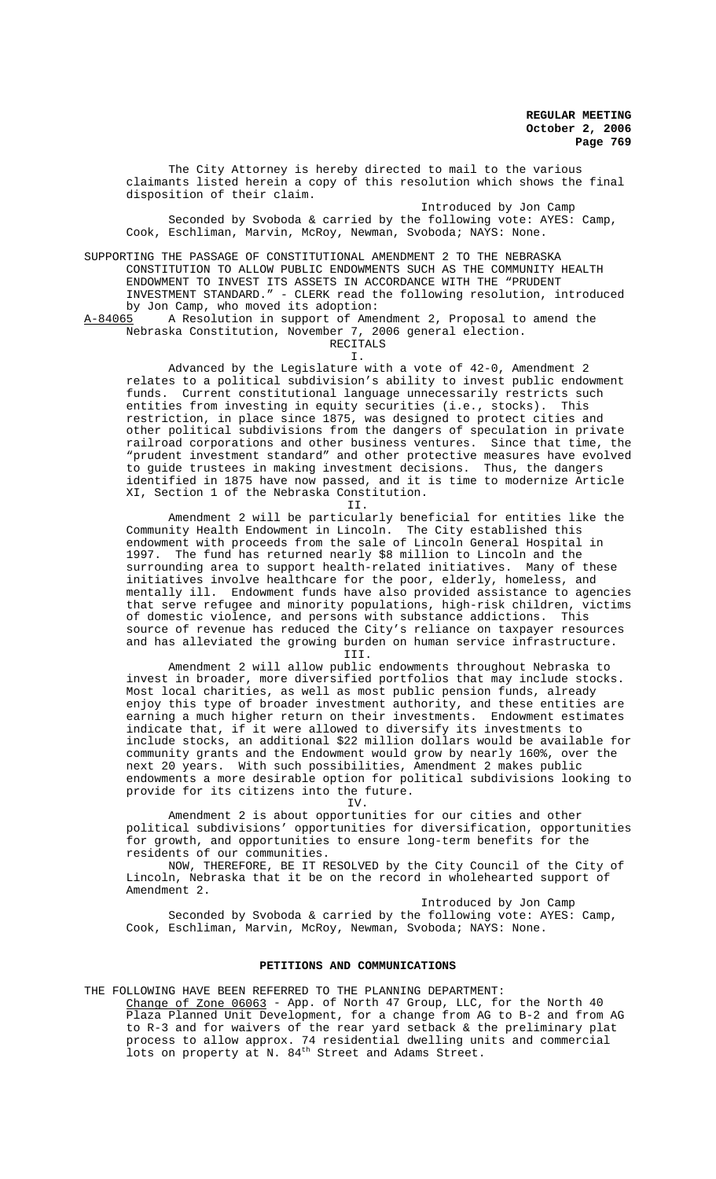The City Attorney is hereby directed to mail to the various claimants listed herein a copy of this resolution which shows the final disposition of their claim.

Introduced by Jon Camp

Seconded by Svoboda & carried by the following vote: AYES: Camp, Cook, Eschliman, Marvin, McRoy, Newman, Svoboda; NAYS: None.

SUPPORTING THE PASSAGE OF CONSTITUTIONAL AMENDMENT 2 TO THE NEBRASKA CONSTITUTION TO ALLOW PUBLIC ENDOWMENTS SUCH AS THE COMMUNITY HEALTH ENDOWMENT TO INVEST ITS ASSETS IN ACCORDANCE WITH THE "PRUDENT INVESTMENT STANDARD." - CLERK read the following resolution, introduced by Jon Camp, who moved its adoption:<br>A-84065 A Resolution in support of Amer

I.

A Resolution in support of Amendment 2, Proposal to amend the Nebraska Constitution, November 7, 2006 general election. RECITALS

Advanced by the Legislature with a vote of 42-0, Amendment 2 relates to a political subdivision's ability to invest public endowment funds. Current constitutional language unnecessarily restricts such entities from investing in equity securities (i.e., stocks). This restriction, in place since 1875, was designed to protect cities and other political subdivisions from the dangers of speculation in private railroad corporations and other business ventures. Since that time, the "prudent investment standard" and other protective measures have evolved to guide trustees in making investment decisions. Thus, the dangers identified in 1875 have now passed, and it is time to modernize Article XI, Section 1 of the Nebraska Constitution. II.

Amendment 2 will be particularly beneficial for entities like the Community Health Endowment in Lincoln. The City established this endowment with proceeds from the sale of Lincoln General Hospital in 1997. The fund has returned nearly \$8 million to Lincoln and the surrounding area to support health-related initiatives. Many of these initiatives involve healthcare for the poor, elderly, homeless, and mentally ill. Endowment funds have also provided assistance to agencies that serve refugee and minority populations, high-risk children, victims of domestic violence, and persons with substance addictions. This source of revenue has reduced the City's reliance on taxpayer resources and has alleviated the growing burden on human service infrastructure.

III.

Amendment 2 will allow public endowments throughout Nebraska to invest in broader, more diversified portfolios that may include stocks. Most local charities, as well as most public pension funds, already enjoy this type of broader investment authority, and these entities are earning a much higher return on their investments. Endowment estimates indicate that, if it were allowed to diversify its investments to include stocks, an additional \$22 million dollars would be available for community grants and the Endowment would grow by nearly 160%, over the next 20 years. With such possibilities, Amendment 2 makes public endowments a more desirable option for political subdivisions looking to provide for its citizens into the future.

TV.

Amendment 2 is about opportunities for our cities and other political subdivisions' opportunities for diversification, opportunities for growth, and opportunities to ensure long-term benefits for the residents of our communities.

NOW, THEREFORE, BE IT RESOLVED by the City Council of the City of Lincoln, Nebraska that it be on the record in wholehearted support of Amendment 2.

Introduced by Jon Camp Seconded by Svoboda & carried by the following vote: AYES: Camp, Cook, Eschliman, Marvin, McRoy, Newman, Svoboda; NAYS: None.

#### **PETITIONS AND COMMUNICATIONS**

THE FOLLOWING HAVE BEEN REFERRED TO THE PLANNING DEPARTMENT: Change of Zone 06063 - App. of North 47 Group, LLC, for the North 40 Plaza Planned Unit Development, for a change from AG to B-2 and from AG to R-3 and for waivers of the rear yard setback & the preliminary plat process to allow approx. 74 residential dwelling units and commercial lots on property at N. 84<sup>th</sup> Street and Adams Street.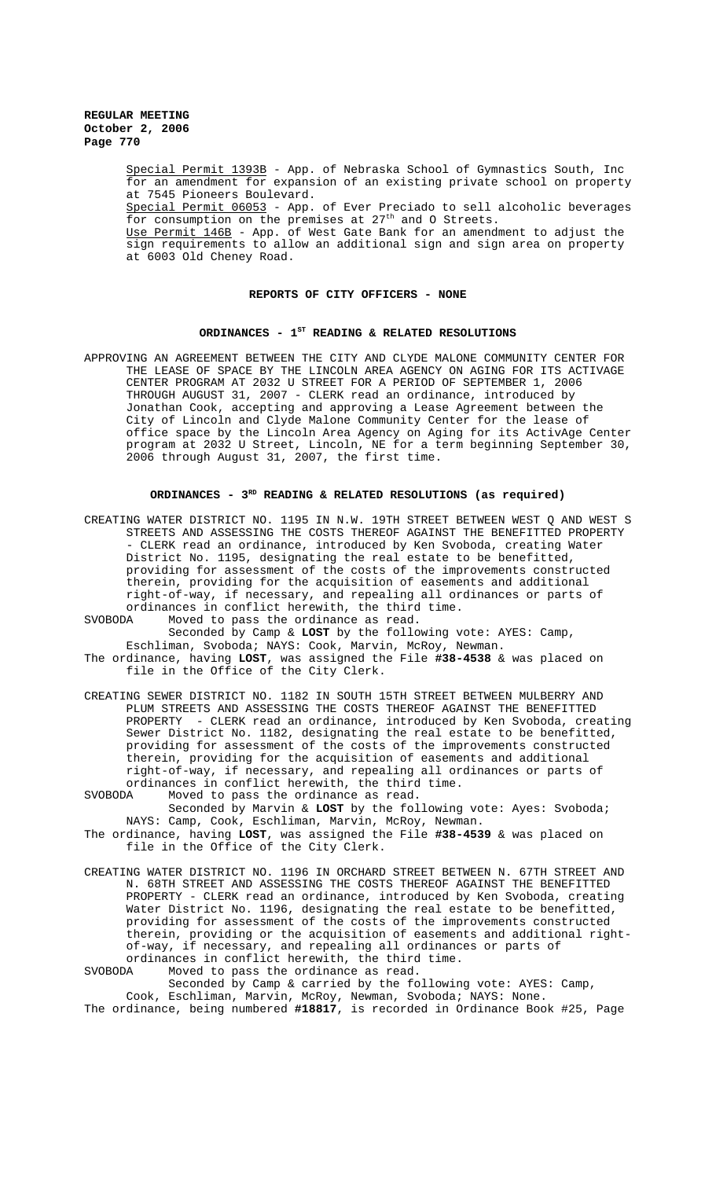> Special Permit 1393B - App. of Nebraska School of Gymnastics South, Inc for an amendment for expansion of an existing private school on property at 7545 Pioneers Boulevard. Special Permit 06053 - App. of Ever Preciado to sell alcoholic beverages for consumption on the premises at  $27<sup>th</sup>$  and 0 Streets. Use Permit 146B - App. of West Gate Bank for an amendment to adjust the sign requirements to allow an additional sign and sign area on property at 6003 Old Cheney Road.

### **REPORTS OF CITY OFFICERS - NONE**

## ORDINANCES - 1<sup>st</sup> READING & RELATED RESOLUTIONS

APPROVING AN AGREEMENT BETWEEN THE CITY AND CLYDE MALONE COMMUNITY CENTER FOR THE LEASE OF SPACE BY THE LINCOLN AREA AGENCY ON AGING FOR ITS ACTIVAGE CENTER PROGRAM AT 2032 U STREET FOR A PERIOD OF SEPTEMBER 1, 2006 THROUGH AUGUST 31, 2007 - CLERK read an ordinance, introduced by Jonathan Cook, accepting and approving a Lease Agreement between the City of Lincoln and Clyde Malone Community Center for the lease of office space by the Lincoln Area Agency on Aging for its ActivAge Center program at 2032 U Street, Lincoln, NE for a term beginning September 30, 2006 through August 31, 2007, the first time.

### ORDINANCES - 3<sup>RD</sup> READING & RELATED RESOLUTIONS (as required)

- CREATING WATER DISTRICT NO. 1195 IN N.W. 19TH STREET BETWEEN WEST Q AND WEST S STREETS AND ASSESSING THE COSTS THEREOF AGAINST THE BENEFITTED PROPERTY - CLERK read an ordinance, introduced by Ken Svoboda, creating Water District No. 1195, designating the real estate to be benefitted, providing for assessment of the costs of the improvements constructed therein, providing for the acquisition of easements and additional right-of-way, if necessary, and repealing all ordinances or parts of ordinances in conflict herewith, the third time.<br>SVOBODA Moved to pass the ordinance as read. Moved to pass the ordinance as read.
- Seconded by Camp & **LOST** by the following vote: AYES: Camp, Eschliman, Svoboda; NAYS: Cook, Marvin, McRoy, Newman. The ordinance, having **LOST**, was assigned the File **#38-4538** & was placed on
- file in the Office of the City Clerk.
- CREATING SEWER DISTRICT NO. 1182 IN SOUTH 15TH STREET BETWEEN MULBERRY AND PLUM STREETS AND ASSESSING THE COSTS THEREOF AGAINST THE BENEFITTED PROPERTY - CLERK read an ordinance, introduced by Ken Svoboda, creating Sewer District No. 1182, designating the real estate to be benefitted, providing for assessment of the costs of the improvements constructed therein, providing for the acquisition of easements and additional right-of-way, if necessary, and repealing all ordinances or parts of ordinances in conflict herewith, the third time.<br>SVOBODA Moved to pass the ordinance as read.
- Moved to pass the ordinance as read. Seconded by Marvin & **LOST** by the following vote: Ayes: Svoboda; NAYS: Camp, Cook, Eschliman, Marvin, McRoy, Newman.
- The ordinance, having **LOST**, was assigned the File **#38-4539** & was placed on file in the Office of the City Clerk.
- CREATING WATER DISTRICT NO. 1196 IN ORCHARD STREET BETWEEN N. 67TH STREET AND N. 68TH STREET AND ASSESSING THE COSTS THEREOF AGAINST THE BENEFITTED PROPERTY - CLERK read an ordinance, introduced by Ken Svoboda, creating Water District No. 1196, designating the real estate to be benefitted, providing for assessment of the costs of the improvements constructed therein, providing or the acquisition of easements and additional rightof-way, if necessary, and repealing all ordinances or parts of ordinances in conflict herewith, the third time.
- SVOBODA Moved to pass the ordinance as read.

Seconded by Camp & carried by the following vote: AYES: Camp, Cook, Eschliman, Marvin, McRoy, Newman, Svoboda; NAYS: None. The ordinance, being numbered **#18817**, is recorded in Ordinance Book #25, Page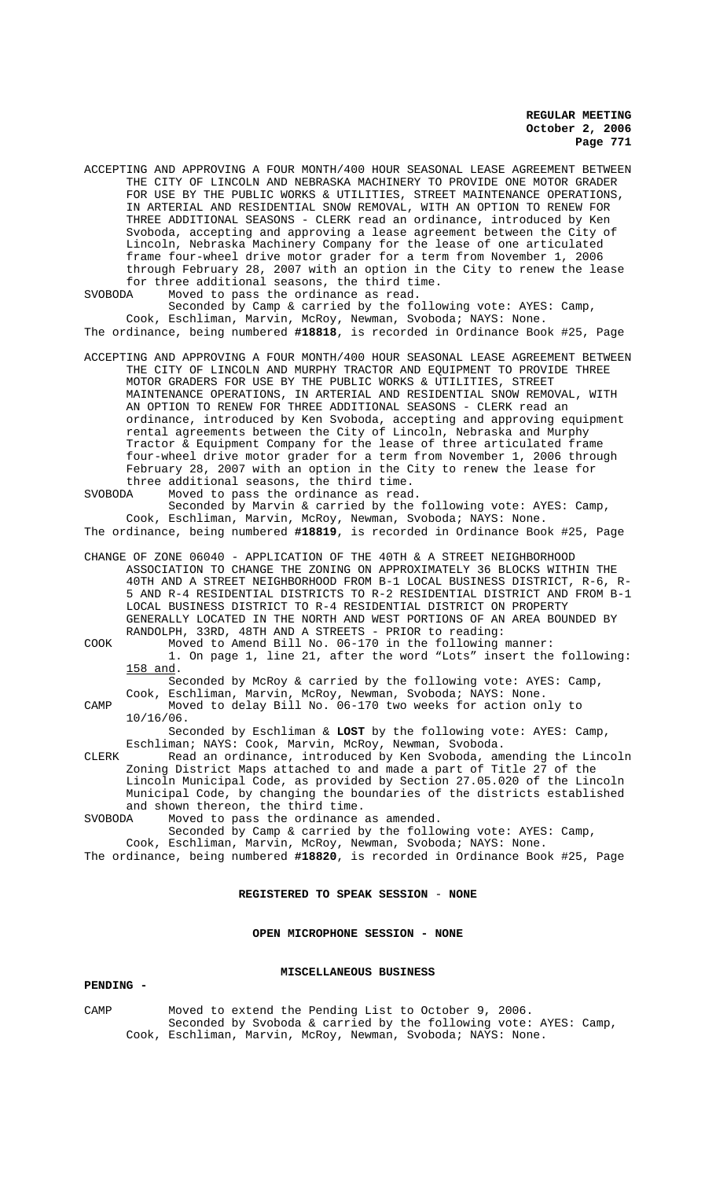ACCEPTING AND APPROVING A FOUR MONTH/400 HOUR SEASONAL LEASE AGREEMENT BETWEEN THE CITY OF LINCOLN AND NEBRASKA MACHINERY TO PROVIDE ONE MOTOR GRADER FOR USE BY THE PUBLIC WORKS & UTILITIES, STREET MAINTENANCE OPERATIONS, IN ARTERIAL AND RESIDENTIAL SNOW REMOVAL, WITH AN OPTION TO RENEW FOR THREE ADDITIONAL SEASONS - CLERK read an ordinance, introduced by Ken Svoboda, accepting and approving a lease agreement between the City of Lincoln, Nebraska Machinery Company for the lease of one articulated frame four-wheel drive motor grader for a term from November 1, 2006 through February 28, 2007 with an option in the City to renew the lease for three additional seasons, the third time.

SVOBODA Moved to pass the ordinance as read. Seconded by Camp & carried by the following vote: AYES: Camp, Cook, Eschliman, Marvin, McRoy, Newman, Svoboda; NAYS: None. The ordinance, being numbered **#18818**, is recorded in Ordinance Book #25, Page

ACCEPTING AND APPROVING A FOUR MONTH/400 HOUR SEASONAL LEASE AGREEMENT BETWEEN THE CITY OF LINCOLN AND MURPHY TRACTOR AND EQUIPMENT TO PROVIDE THREE MOTOR GRADERS FOR USE BY THE PUBLIC WORKS & UTILITIES, STREET MAINTENANCE OPERATIONS, IN ARTERIAL AND RESIDENTIAL SNOW REMOVAL, WITH AN OPTION TO RENEW FOR THREE ADDITIONAL SEASONS - CLERK read an ordinance, introduced by Ken Svoboda, accepting and approving equipment rental agreements between the City of Lincoln, Nebraska and Murphy Tractor & Equipment Company for the lease of three articulated frame four-wheel drive motor grader for a term from November 1, 2006 through February 28, 2007 with an option in the City to renew the lease for three additional seasons, the third time.<br>SVOBODA Moved to pass the ordinance as read

Moved to pass the ordinance as read. Seconded by Marvin & carried by the following vote: AYES: Camp, Cook, Eschliman, Marvin, McRoy, Newman, Svoboda; NAYS: None. The ordinance, being numbered **#18819**, is recorded in Ordinance Book #25, Page

CHANGE OF ZONE 06040 - APPLICATION OF THE 40TH & A STREET NEIGHBORHOOD ASSOCIATION TO CHANGE THE ZONING ON APPROXIMATELY 36 BLOCKS WITHIN THE 40TH AND A STREET NEIGHBORHOOD FROM B-1 LOCAL BUSINESS DISTRICT, R-6, R-5 AND R-4 RESIDENTIAL DISTRICTS TO R-2 RESIDENTIAL DISTRICT AND FROM B-1 LOCAL BUSINESS DISTRICT TO R-4 RESIDENTIAL DISTRICT ON PROPERTY GENERALLY LOCATED IN THE NORTH AND WEST PORTIONS OF AN AREA BOUNDED BY RANDOLPH, 33RD, 48TH AND A STREETS - PRIOR to reading:

COOK Moved to Amend Bill No. 06-170 in the following manner: 1. On page 1, line 21, after the word "Lots" insert the following: 158 and.

Seconded by McRoy & carried by the following vote: AYES: Camp,

Cook, Eschliman, Marvin, McRoy, Newman, Svoboda; NAYS: None. CAMP Moved to delay Bill No. 06-170 two weeks for action only to 10/16/06.

Seconded by Eschliman & **LOST** by the following vote: AYES: Camp, Eschliman; NAYS: Cook, Marvin, McRoy, Newman, Svoboda.

CLERK Read an ordinance, introduced by Ken Svoboda, amending the Lincoln Zoning District Maps attached to and made a part of Title 27 of the Lincoln Municipal Code, as provided by Section 27.05.020 of the Lincoln Municipal Code, by changing the boundaries of the districts established and shown thereon, the third time.

SVOBODA Moved to pass the ordinance as amended.

Seconded by Camp & carried by the following vote: AYES: Camp, Cook, Eschliman, Marvin, McRoy, Newman, Svoboda; NAYS: None. The ordinance, being numbered **#18820**, is recorded in Ordinance Book #25, Page

### **REGISTERED TO SPEAK SESSION** - **NONE**

### **OPEN MICROPHONE SESSION - NONE**

## **MISCELLANEOUS BUSINESS**

### **PENDING -**

CAMP Moved to extend the Pending List to October 9, 2006. Seconded by Svoboda & carried by the following vote: AYES: Camp, Cook, Eschliman, Marvin, McRoy, Newman, Svoboda; NAYS: None.